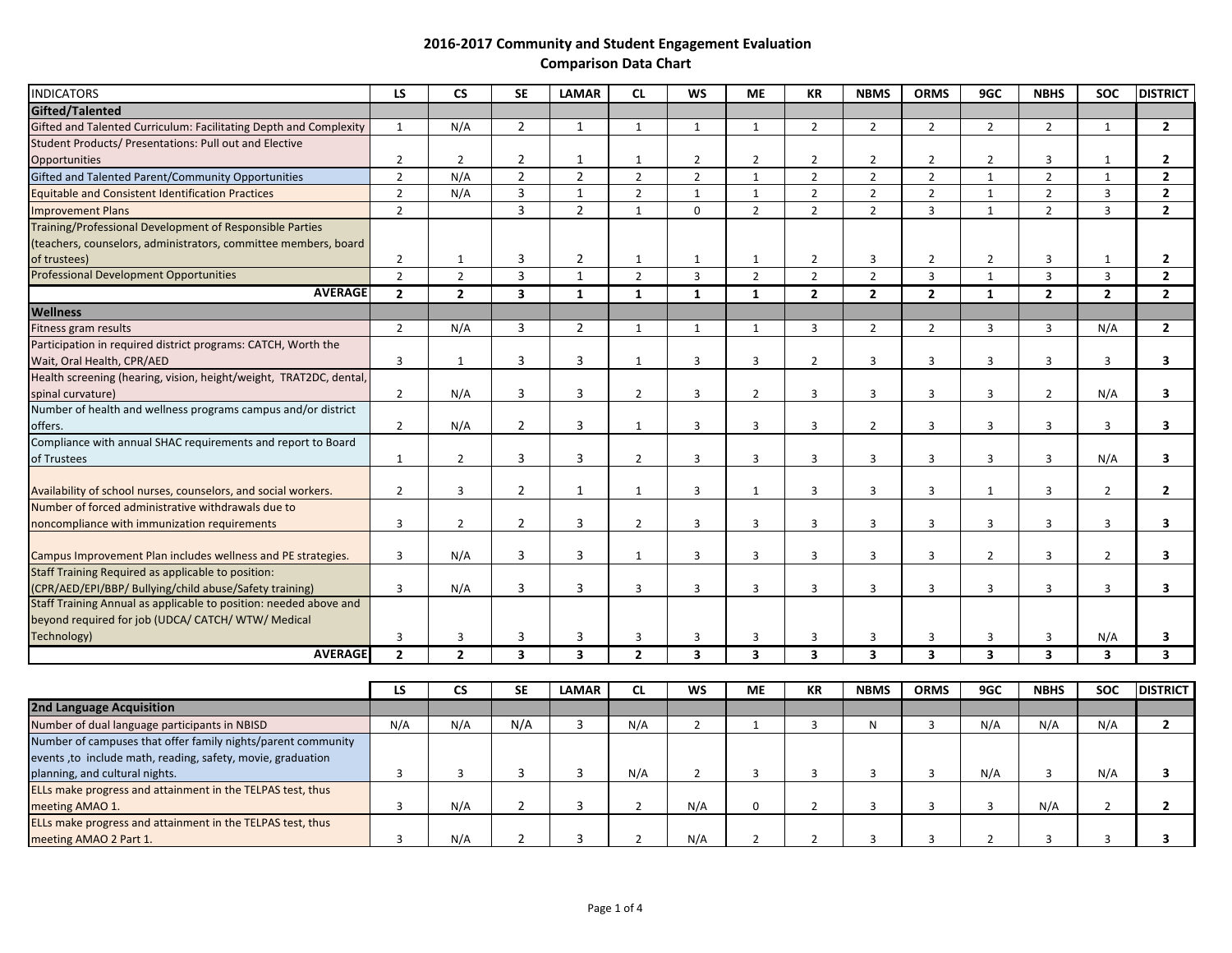| <b>INDICATORS</b>                                                  | <b>LS</b>      | <b>CS</b>      | <b>SE</b>               | <b>LAMAR</b>            | <b>CL</b>      | <b>WS</b>               | <b>ME</b>               | <b>KR</b>               | <b>NBMS</b>             | <b>ORMS</b>             | 9GC            | <b>NBHS</b>             | <b>SOC</b>              | <b>DISTRICT</b>         |
|--------------------------------------------------------------------|----------------|----------------|-------------------------|-------------------------|----------------|-------------------------|-------------------------|-------------------------|-------------------------|-------------------------|----------------|-------------------------|-------------------------|-------------------------|
| Gifted/Talented                                                    |                |                |                         |                         |                |                         |                         |                         |                         |                         |                |                         |                         |                         |
| Gifted and Talented Curriculum: Facilitating Depth and Complexity  | $\mathbf{1}$   | N/A            | $\overline{2}$          | $\mathbf{1}$            | $\mathbf{1}$   | $\mathbf{1}$            | $\mathbf{1}$            | $\overline{2}$          | $\overline{2}$          | $\overline{2}$          | $\overline{2}$ | $\overline{2}$          | $\mathbf{1}$            | $\mathbf{2}$            |
| Student Products/ Presentations: Pull out and Elective             |                |                |                         |                         |                |                         |                         |                         |                         |                         |                |                         |                         |                         |
| Opportunities                                                      | $\overline{2}$ | $\overline{2}$ | $\overline{2}$          | 1                       | 1              | $\overline{2}$          | $\overline{2}$          | $\overline{2}$          | $\overline{2}$          | $\overline{2}$          | $\overline{2}$ | 3                       | 1                       | $\mathbf{2}$            |
| Gifted and Talented Parent/Community Opportunities                 | $\overline{2}$ | N/A            | $\overline{2}$          | $\overline{2}$          | $\overline{2}$ | $\overline{2}$          | $\mathbf{1}$            | $\overline{2}$          | $\overline{2}$          | $\overline{2}$          | $\mathbf{1}$   | $\overline{2}$          | $\mathbf{1}$            | $\mathbf{2}$            |
| <b>Equitable and Consistent Identification Practices</b>           | $\overline{2}$ | N/A            | $\overline{3}$          | $\mathbf{1}$            | $\overline{2}$ | $\mathbf{1}$            | $\mathbf{1}$            | $\overline{2}$          | $\overline{2}$          | $\overline{2}$          | $\mathbf{1}$   | $\overline{2}$          | $\overline{3}$          | $\overline{2}$          |
| <b>Improvement Plans</b>                                           | $\overline{2}$ |                | $\overline{3}$          | $\overline{2}$          | $\mathbf{1}$   | $\mathbf 0$             | $\overline{2}$          | $\overline{2}$          | $\overline{2}$          | $\overline{3}$          | $\mathbf{1}$   | $\overline{2}$          | $\overline{3}$          | $\mathbf{2}$            |
| Training/Professional Development of Responsible Parties           |                |                |                         |                         |                |                         |                         |                         |                         |                         |                |                         |                         |                         |
| (teachers, counselors, administrators, committee members, board    |                |                |                         |                         |                |                         |                         |                         |                         |                         |                |                         |                         |                         |
| of trustees)                                                       | $\overline{2}$ | 1              | 3                       | $\overline{2}$          | 1              | 1                       | $\mathbf{1}$            | $\overline{2}$          | $\overline{3}$          | $\overline{2}$          | $\overline{2}$ | $\overline{3}$          | 1                       | $\mathbf{2}$            |
| <b>Professional Development Opportunities</b>                      | $\overline{2}$ | $\overline{2}$ | $\overline{3}$          | $\mathbf{1}$            | $\overline{2}$ | $\overline{3}$          | $\overline{2}$          | $\overline{2}$          | $\overline{2}$          | $\overline{3}$          | $\mathbf{1}$   | $\overline{3}$          | $\overline{3}$          | $\overline{2}$          |
| <b>AVERAGE</b>                                                     | $\overline{2}$ | $\overline{2}$ | $\overline{\mathbf{3}}$ | $\mathbf{1}$            | $\mathbf{1}$   | 1                       | $\mathbf{1}$            | $\overline{2}$          | $\overline{2}$          | $\overline{2}$          | $\mathbf{1}$   | $\overline{2}$          | $\overline{2}$          | $\overline{2}$          |
| <b>Wellness</b>                                                    |                |                |                         |                         |                |                         |                         |                         |                         |                         |                |                         |                         |                         |
| Fitness gram results                                               | $\overline{2}$ | N/A            | 3                       | $\overline{2}$          | $\mathbf{1}$   | $\mathbf{1}$            | 1                       | $\overline{3}$          | $\overline{2}$          | $\overline{2}$          | $\overline{3}$ | $\overline{3}$          | N/A                     | $\overline{2}$          |
| Participation in required district programs: CATCH, Worth the      |                |                |                         |                         |                |                         |                         |                         |                         |                         |                |                         |                         |                         |
| Wait, Oral Health, CPR/AED                                         | 3              | 1              | 3                       | 3                       | $\mathbf{1}$   | 3                       | 3                       | $\overline{2}$          | 3                       | 3                       | 3              | 3                       | 3                       | 3                       |
| Health screening (hearing, vision, height/weight, TRAT2DC, dental, |                |                |                         |                         |                |                         |                         |                         |                         |                         |                |                         |                         |                         |
| spinal curvature)                                                  | $\overline{2}$ | N/A            | 3                       | 3                       | $\overline{2}$ | 3                       | $\overline{2}$          | $\overline{3}$          | 3                       | $\overline{3}$          | 3              | $\overline{2}$          | N/A                     | 3                       |
| Number of health and wellness programs campus and/or district      |                |                |                         |                         |                |                         |                         |                         |                         |                         |                |                         |                         |                         |
| offers.                                                            | $\overline{2}$ | N/A            | $\overline{2}$          | 3                       | 1              | $\overline{3}$          | $\overline{3}$          | $\overline{3}$          | $\overline{2}$          | $\overline{3}$          | 3              | $\overline{3}$          | $\overline{3}$          | $\mathbf{3}$            |
| Compliance with annual SHAC requirements and report to Board       |                |                |                         |                         |                |                         |                         |                         |                         |                         |                |                         |                         |                         |
| of Trustees                                                        | $\mathbf{1}$   | $\overline{2}$ | 3                       | 3                       | $\overline{2}$ | $\overline{3}$          | $\overline{3}$          | $\overline{3}$          | $\overline{3}$          | $\overline{3}$          | 3              | $\overline{3}$          | N/A                     | 3                       |
|                                                                    |                |                |                         |                         |                |                         |                         |                         |                         |                         |                |                         |                         |                         |
| Availability of school nurses, counselors, and social workers.     | $\overline{2}$ | 3              | $\overline{2}$          | $\mathbf{1}$            | $\mathbf{1}$   | 3                       | $\mathbf{1}$            | 3                       | 3                       | 3                       | $\mathbf{1}$   | 3                       | $\overline{2}$          | $\mathbf{2}$            |
| Number of forced administrative withdrawals due to                 |                |                |                         |                         |                |                         |                         |                         |                         |                         |                |                         |                         |                         |
| noncompliance with immunization requirements                       | $\overline{3}$ | $\overline{2}$ | $\overline{2}$          | $\overline{3}$          | $\overline{2}$ | $\overline{3}$          | $\overline{3}$          | $\overline{3}$          | $\overline{3}$          | $\overline{3}$          | $\overline{3}$ | $\overline{3}$          | $\overline{3}$          | 3                       |
| Campus Improvement Plan includes wellness and PE strategies.       | 3              | N/A            | 3                       | 3                       | $\mathbf{1}$   | $\overline{3}$          | 3                       | 3                       | 3                       | 3                       | $\overline{2}$ | $\overline{3}$          | $\overline{2}$          | 3                       |
| Staff Training Required as applicable to position:                 |                |                |                         |                         |                |                         |                         |                         |                         |                         |                |                         |                         |                         |
| (CPR/AED/EPI/BBP/ Bullying/child abuse/Safety training)            | $\overline{3}$ | N/A            | 3                       | 3                       | $\overline{3}$ | $\overline{3}$          | 3                       | 3                       | $\overline{3}$          | $\overline{3}$          | 3              | $\overline{3}$          | $\overline{3}$          | 3                       |
| Staff Training Annual as applicable to position: needed above and  |                |                |                         |                         |                |                         |                         |                         |                         |                         |                |                         |                         |                         |
| beyond required for job (UDCA/ CATCH/ WTW/ Medical                 |                |                |                         |                         |                |                         |                         |                         |                         |                         |                |                         |                         |                         |
| Technology)                                                        | 3              | 3              | 3                       | 3                       | 3              | 3                       | 3                       | 3                       | 3                       | 3                       | 3              | $\overline{3}$          | N/A                     | 3                       |
| <b>AVERAGE</b>                                                     | $\overline{2}$ | $\overline{2}$ | $\overline{\mathbf{3}}$ | $\overline{\mathbf{3}}$ | $\overline{2}$ | $\overline{\mathbf{3}}$ | $\overline{\mathbf{3}}$ | $\overline{\mathbf{3}}$ | $\overline{\mathbf{3}}$ | $\overline{\mathbf{3}}$ | 3              | $\overline{\mathbf{3}}$ | $\overline{\mathbf{3}}$ | $\overline{\mathbf{3}}$ |
|                                                                    |                |                |                         |                         |                |                         |                         |                         |                         |                         |                |                         |                         |                         |
|                                                                    | LS             | <b>CS</b>      | <b>SE</b>               | <b>LAMAR</b>            | <b>CL</b>      | <b>WS</b>               | <b>ME</b>               | KR                      | <b>NBMS</b>             | <b>ORMS</b>             | 9GC            | <b>NBHS</b>             | <b>SOC</b>              | <b>DISTRICT</b>         |
| <b>2nd Language Acquisition</b>                                    |                |                |                         |                         |                |                         |                         |                         |                         |                         |                |                         |                         |                         |
| Number of dual language participants in NBISD                      | N/A            | N/A            | N/A                     | $\overline{3}$          | N/A            | $\overline{2}$          | $\mathbf{1}$            | $\overline{3}$          | N                       | $\overline{3}$          | N/A            | N/A                     | N/A                     | $\overline{2}$          |
| Number of campuses that offer family nights/parent community       |                |                |                         |                         |                |                         |                         |                         |                         |                         |                |                         |                         |                         |
| events, to include math, reading, safety, movie, graduation        |                |                |                         |                         |                |                         |                         |                         |                         |                         |                |                         |                         |                         |
| planning, and cultural nights.                                     | 3              | 3              | 3                       | 3                       | N/A            | $\overline{2}$          | 3                       | $\overline{3}$          | 3                       | $\overline{3}$          | N/A            | 3                       | N/A                     | 3                       |
| ELLs make progress and attainment in the TELPAS test, thus         |                |                |                         |                         |                |                         |                         |                         |                         |                         |                |                         |                         |                         |
| meeting AMAO 1.                                                    | 3              | N/A            | $\overline{2}$          | 3                       | $\overline{2}$ | N/A                     | 0                       | $\overline{2}$          | $\mathbf{3}$            | $\mathbf{3}$            | 3              | N/A                     | $\overline{2}$          | $\mathbf{2}$            |
| ELLs make progress and attainment in the TELPAS test, thus         |                |                |                         |                         |                |                         |                         |                         |                         |                         |                |                         |                         |                         |
| meeting AMAO 2 Part 1.                                             | $\overline{3}$ | N/A            | $\overline{2}$          | 3                       | $\overline{2}$ | N/A                     | $\overline{2}$          | $\overline{2}$          | $\mathbf{3}$            | $\overline{3}$          | $\overline{2}$ | 3                       | $\overline{3}$          | 3                       |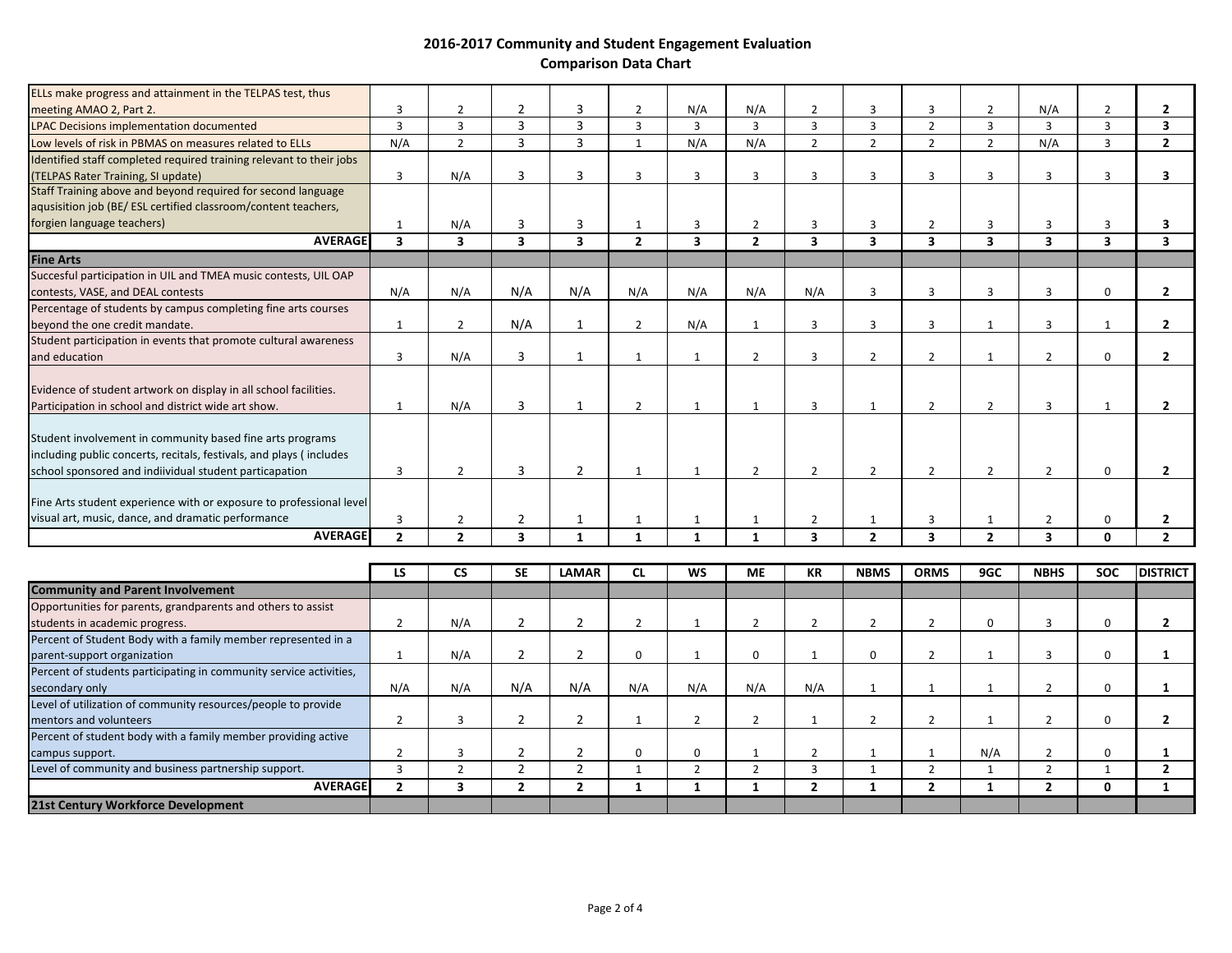|                                                                                                                                                                                            | ١S             | CS             | <b>SF</b>      | <b>IAMAR</b>            | $\mathsf{C}$   | <b>WS</b>      | <b>MF</b>      | <b>KR</b>      | <b>NRMS</b>    | <b>ORMS</b>    | 9GC            | <b>NRHS</b>              | <b>SOC</b>     | <b>DISTRICT</b> |
|--------------------------------------------------------------------------------------------------------------------------------------------------------------------------------------------|----------------|----------------|----------------|-------------------------|----------------|----------------|----------------|----------------|----------------|----------------|----------------|--------------------------|----------------|-----------------|
| <b>AVERAGE</b>                                                                                                                                                                             | $\overline{2}$ | $\overline{2}$ | 3              |                         |                | $\mathbf{1}$   | $\mathbf{1}$   | 3              | $\overline{2}$ | 3              | $\overline{2}$ | 3                        | <sup>0</sup>   | $\overline{2}$  |
| visual art, music, dance, and dramatic performance                                                                                                                                         |                | $\mathcal{P}$  | $\overline{2}$ |                         |                |                |                | $\overline{2}$ |                | $\mathbf{R}$   |                | $\overline{\phantom{0}}$ | $\Omega$       | $\overline{2}$  |
| Fine Arts student experience with or exposure to professional level                                                                                                                        |                |                |                |                         |                |                |                |                |                |                |                |                          |                |                 |
| Student involvement in community based fine arts programs<br>including public concerts, recitals, festivals, and plays (includes<br>school sponsored and indiividual student particapation | з              | $\mathcal{P}$  | 3              | $\overline{2}$          |                |                | $\overline{2}$ | $\overline{2}$ | $\overline{2}$ | $\overline{2}$ | $\overline{2}$ | 2                        | $\Omega$       | $\overline{2}$  |
| Evidence of student artwork on display in all school facilities.<br>Participation in school and district wide art show.                                                                    |                | N/A            | 3              |                         | $\overline{2}$ |                | $\mathbf{1}$   | 3              | $\mathbf{1}$   | $\overline{2}$ | $\mathcal{P}$  | 3                        |                | $\overline{2}$  |
| Student participation in events that promote cultural awareness<br>and education                                                                                                           | 3              | N/A            | 3              | $\mathbf{1}$            |                | $\mathbf{1}$   | $\overline{2}$ | $\overline{3}$ | $\overline{2}$ | $\overline{2}$ | $\mathbf{1}$   | $\overline{2}$           | $\Omega$       | $\overline{2}$  |
| Percentage of students by campus completing fine arts courses<br>beyond the one credit mandate.                                                                                            | $\mathbf{1}$   | $\overline{2}$ | N/A            | $\mathbf{1}$            | $\overline{2}$ | N/A            | 1              | $\overline{3}$ | 3              | $\overline{3}$ | 1              | $\overline{3}$           |                | $\overline{2}$  |
| Succesful participation in UIL and TMEA music contests, UIL OAP<br>contests, VASE, and DEAL contests                                                                                       | N/A            | N/A            | N/A            | N/A                     | N/A            | N/A            | N/A            | N/A            | 3              | 3              | 3              | 3                        | $\Omega$       | $\overline{2}$  |
| <b>Fine Arts</b>                                                                                                                                                                           |                |                |                |                         |                |                |                |                |                |                |                |                          |                |                 |
| <b>AVERAGE</b>                                                                                                                                                                             | $\mathbf{3}$   | 3              | 3              | $\overline{\mathbf{3}}$ | $\overline{2}$ | 3              | $\overline{2}$ | 3              | 3              | 3              | 3              | 3                        | 3              | 3               |
| aqusisition job (BE/ESL certified classroom/content teachers,<br>forgien language teachers)                                                                                                |                | N/A            | 3              | 3                       |                | 3              | $\overline{2}$ | 3              | 3              | $\overline{z}$ | 3              | 3                        | $\mathbf{a}$   | 3               |
| (TELPAS Rater Training, SI update)<br>Staff Training above and beyond required for second language                                                                                         | $\overline{3}$ | N/A            | 3              | 3                       | 3              | $\overline{3}$ | 3              | $\overline{3}$ | 3              | $\overline{3}$ | $\overline{3}$ | $\overline{3}$           | 3              | 3               |
| Low levels of risk in PBMAS on measures related to ELLs<br>Identified staff completed required training relevant to their jobs                                                             | N/A            | $\mathcal{P}$  | 3              | 3                       |                | N/A            | N/A            | $\overline{2}$ | $\overline{2}$ | $\overline{2}$ | $\overline{2}$ | N/A                      | $\overline{3}$ | $\overline{2}$  |
| <b>LPAC Decisions implementation documented</b>                                                                                                                                            | $\overline{3}$ | 3              | $\overline{3}$ | $\overline{3}$          | 3              | $\mathbf{3}$   | $\overline{3}$ | $\overline{3}$ | 3              | $\overline{2}$ | $\overline{3}$ | $\overline{3}$           | $\mathbf{R}$   | 3               |
| meeting AMAO 2, Part 2.                                                                                                                                                                    | 3              | $\overline{2}$ | $\overline{2}$ | 3                       | $\overline{2}$ | N/A            | N/A            | $\overline{2}$ | 3              | 3              | $\overline{2}$ | N/A                      | $\overline{2}$ | $\overline{2}$  |
| ELLs make progress and attainment in the TELPAS test, thus                                                                                                                                 |                |                |                |                         |                |                |                |                |                |                |                |                          |                |                 |

|                                                                    | LS  | СS  | <b>SE</b> | <b>LAMAR</b> |     | <b>WS</b> | <b>ME</b> | <b>KR</b> | <b>NBMS</b> | <b>ORMS</b> | 9GC | <b>NBHS</b> | <b>SOC</b> | <b>DISTRICT</b> |
|--------------------------------------------------------------------|-----|-----|-----------|--------------|-----|-----------|-----------|-----------|-------------|-------------|-----|-------------|------------|-----------------|
| <b>Community and Parent Involvement</b>                            |     |     |           |              |     |           |           |           |             |             |     |             |            |                 |
| Opportunities for parents, grandparents and others to assist       |     |     |           |              |     |           |           |           |             |             |     |             |            |                 |
| students in academic progress.                                     |     | N/A |           |              |     |           |           |           |             |             |     |             |            |                 |
| Percent of Student Body with a family member represented in a      |     |     |           |              |     |           |           |           |             |             |     |             |            |                 |
| parent-support organization                                        |     | N/A |           |              |     |           |           |           |             |             |     |             |            |                 |
| Percent of students participating in community service activities, |     |     |           |              |     |           |           |           |             |             |     |             |            |                 |
| secondary only                                                     | N/A | N/A | N/A       | N/A          | N/A | N/A       | N/A       | N/A       |             |             |     |             |            |                 |
| Level of utilization of community resources/people to provide      |     |     |           |              |     |           |           |           |             |             |     |             |            |                 |
| mentors and volunteers                                             |     |     |           |              |     |           |           |           |             |             |     |             |            |                 |
| Percent of student body with a family member providing active      |     |     |           |              |     |           |           |           |             |             |     |             |            |                 |
| campus support.                                                    |     |     |           |              |     |           |           |           |             |             | N/A |             |            |                 |
| Level of community and business partnership support.               |     |     |           |              |     |           |           |           |             |             |     |             |            |                 |
| <b>AVERAGEI</b>                                                    |     |     |           |              |     |           |           |           |             |             |     |             |            |                 |
| 21st Century Workforce Development                                 |     |     |           |              |     |           |           |           |             |             |     |             |            |                 |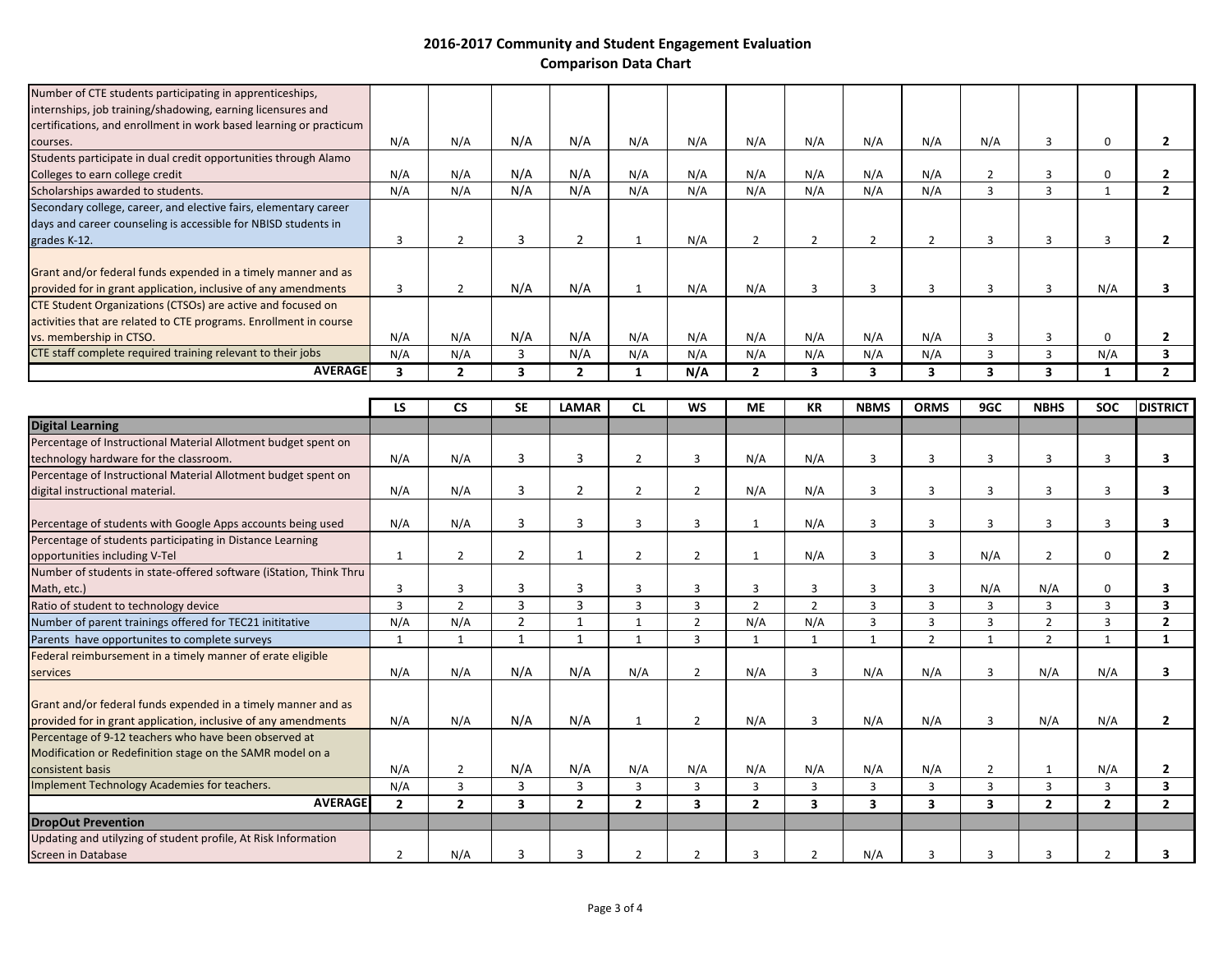| <b>AVERAGE</b>                                                     |     |     |     |     |     | N/A |               |     |     |     |     |     |  |
|--------------------------------------------------------------------|-----|-----|-----|-----|-----|-----|---------------|-----|-----|-----|-----|-----|--|
| CTE staff complete required training relevant to their jobs        | N/A | N/A |     | N/A | N/A | N/A | N/A           | N/A | N/A | N/A |     | N/A |  |
| vs. membership in CTSO.                                            | N/A | N/A | N/A | N/A | N/A | N/A | N/A           | N/A | N/A | N/A |     |     |  |
| activities that are related to CTE programs. Enrollment in course  |     |     |     |     |     |     |               |     |     |     |     |     |  |
| CTE Student Organizations (CTSOs) are active and focused on        |     |     |     |     |     |     |               |     |     |     |     |     |  |
| provided for in grant application, inclusive of any amendments     |     |     | N/A | N/A |     | N/A | N/A           |     |     |     |     | N/A |  |
| Grant and/or federal funds expended in a timely manner and as      |     |     |     |     |     |     |               |     |     |     |     |     |  |
| grades K-12.                                                       |     |     |     |     |     | N/A | $\mathcal{P}$ |     |     |     |     |     |  |
| days and career counseling is accessible for NBISD students in     |     |     |     |     |     |     |               |     |     |     |     |     |  |
| Secondary college, career, and elective fairs, elementary career   |     |     |     |     |     |     |               |     |     |     |     |     |  |
| Scholarships awarded to students.                                  | N/A | N/A | N/A | N/A | N/A | N/A | N/A           | N/A | N/A | N/A |     |     |  |
| Colleges to earn college credit                                    | N/A | N/A | N/A | N/A | N/A | N/A | N/A           | N/A | N/A | N/A |     |     |  |
| Students participate in dual credit opportunities through Alamo    |     |     |     |     |     |     |               |     |     |     |     |     |  |
| courses.                                                           | N/A | N/A | N/A | N/A | N/A | N/A | N/A           | N/A | N/A | N/A | N/A |     |  |
| certifications, and enrollment in work based learning or practicum |     |     |     |     |     |     |               |     |     |     |     |     |  |
| internships, job training/shadowing, earning licensures and        |     |     |     |     |     |     |               |     |     |     |     |     |  |
| Number of CTE students participating in apprenticeships,           |     |     |     |     |     |     |               |     |     |     |     |     |  |

|                                                                                                                                 | LS           | <b>CS</b>      | <b>SE</b>     | <b>LAMAR</b>   | <b>CL</b>      | <b>WS</b>      | <b>ME</b>      | <b>KR</b>      | <b>NBMS</b>  | <b>ORMS</b>    | 9GC            | <b>NBHS</b>    | <b>SOC</b>     | <b>DISTRICT</b>         |
|---------------------------------------------------------------------------------------------------------------------------------|--------------|----------------|---------------|----------------|----------------|----------------|----------------|----------------|--------------|----------------|----------------|----------------|----------------|-------------------------|
| <b>Digital Learning</b>                                                                                                         |              |                |               |                |                |                |                |                |              |                |                |                |                |                         |
| Percentage of Instructional Material Allotment budget spent on                                                                  |              |                |               |                |                |                |                |                |              |                |                |                |                |                         |
| technology hardware for the classroom.                                                                                          | N/A          | N/A            | 3             | 3              | $\overline{2}$ | 3              | N/A            | N/A            | 3            | 3              | 3              | $\overline{3}$ | 3              | 3                       |
| Percentage of Instructional Material Allotment budget spent on                                                                  |              |                |               |                |                |                |                |                |              |                |                |                |                |                         |
| digital instructional material.                                                                                                 | N/A          | N/A            | 3             | 2              | $\overline{2}$ | $\overline{2}$ | N/A            | N/A            | 3            | 3              | 3              | 3              | 3              | $\overline{\mathbf{3}}$ |
| Percentage of students with Google Apps accounts being used                                                                     | N/A          | N/A            | 3             | 3              | 3              | 3              | -1             | N/A            | 3            | 3              | $\mathbf{a}$   | 3              | 3              | 3                       |
| Percentage of students participating in Distance Learning                                                                       |              |                |               |                |                |                |                |                |              |                |                |                |                |                         |
| opportunities including V-Tel                                                                                                   | 1            | $\overline{2}$ | 2             |                | 2              | $\overline{2}$ | $\mathbf{1}$   | N/A            | 3            | 3              | N/A            | 2              | 0              | $\mathbf{2}$            |
| Number of students in state-offered software (iStation, Think Thru                                                              |              |                |               |                |                |                |                |                |              |                |                |                |                |                         |
| Math, etc.)                                                                                                                     | 3            | 3              | 3             | 3              | 3              | 3              | 3              | 3              | 3            | $\mathbf{a}$   | N/A            | N/A            | $\Omega$       | 3                       |
| Ratio of student to technology device                                                                                           | 3            | $\overline{2}$ | 3             | 3              | 3              | 3              | $\overline{2}$ | $\overline{2}$ | 3            | 3              | 3              | 3              | 3              | 3                       |
| Number of parent trainings offered for TEC21 inititative                                                                        | N/A          | N/A            | $\mathcal{P}$ | -1             | $\mathbf{1}$   | $\overline{2}$ | N/A            | N/A            | 3            | $\mathbf{a}$   | $\mathbf{a}$   | $\overline{2}$ | 3              | $\overline{2}$          |
| Parents have opportunites to complete surveys                                                                                   |              | $\mathbf{1}$   | $\mathbf 1$   | $\mathbf{1}$   |                | 3              | $\mathbf 1$    | $\mathbf{1}$   | $\mathbf{1}$ | $\overline{2}$ | $\mathbf{1}$   | $\overline{2}$ | 1              | -1                      |
| Federal reimbursement in a timely manner of erate eligible                                                                      |              |                |               |                |                |                |                |                |              |                |                |                |                |                         |
| services                                                                                                                        | N/A          | N/A            | N/A           | N/A            | N/A            | $\overline{2}$ | N/A            | $\overline{3}$ | N/A          | N/A            | $\mathbf{a}$   | N/A            | N/A            | 3                       |
| Grant and/or federal funds expended in a timely manner and as<br>provided for in grant application, inclusive of any amendments | N/A          | N/A            | N/A           | N/A            |                | $\overline{2}$ | N/A            | 3              | N/A          | N/A            | $\mathbf{a}$   | N/A            | N/A            | $\overline{2}$          |
| Percentage of 9-12 teachers who have been observed at                                                                           |              |                |               |                |                |                |                |                |              |                |                |                |                |                         |
| Modification or Redefinition stage on the SAMR model on a                                                                       |              |                |               |                |                |                |                |                |              |                |                |                |                |                         |
| consistent basis                                                                                                                | N/A          | $\overline{2}$ | N/A           | N/A            | N/A            | N/A            | N/A            | N/A            | N/A          | N/A            | $\overline{2}$ | 1              | N/A            | 2                       |
| Implement Technology Academies for teachers.                                                                                    | N/A          | 3              | 3             | 3              | 3              | 3              | 3              | 3              | 3            | 3              | $\mathbf{a}$   | 3              | 3              | 3                       |
| <b>AVERAGE</b>                                                                                                                  | $\mathbf{2}$ | $\overline{2}$ | 3             | $\overline{2}$ | $\overline{2}$ | 3              | $\overline{2}$ | 3              | 3            | 3              | 3              | $\overline{2}$ | $\overline{2}$ | $\mathbf{2}$            |
| <b>DropOut Prevention</b>                                                                                                       |              |                |               |                |                |                |                |                |              |                |                |                |                |                         |
| Updating and utilyzing of student profile, At Risk Information                                                                  |              |                |               |                |                |                |                |                |              |                |                |                |                |                         |
| Screen in Database                                                                                                              | 2            | N/A            | з             |                | $\mathcal{P}$  | $\mathcal{P}$  | $\mathbf{a}$   | $\overline{2}$ | N/A          |                | २              | з              |                |                         |